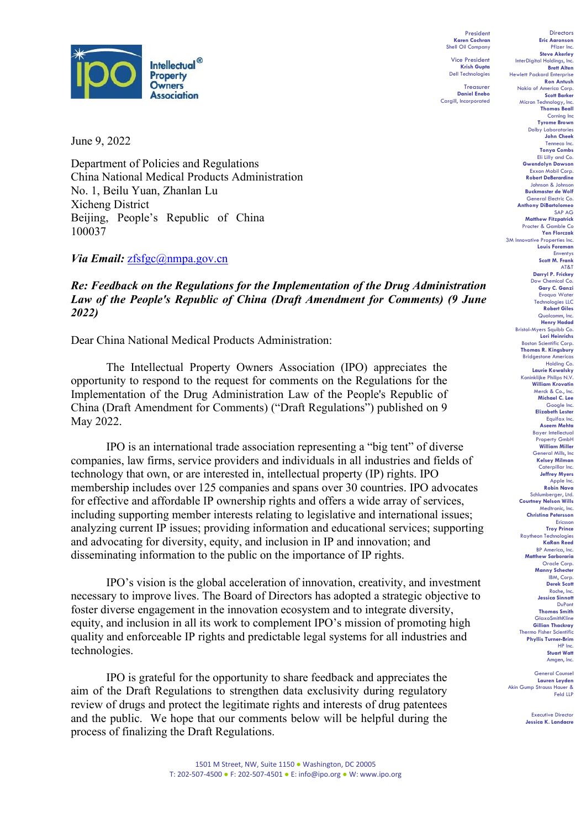

June 9, 2022

Department of Policies and Regulations China National Medical Products Administration No. 1, Beilu Yuan, Zhanlan Lu Xicheng District Beijing, People's Republic of China 100037

Via Email: [zfsfgc@nmpa.gov.cn](mailto:zfsfgc@nmpa.gov.cn)

### *Re: Feedback on the Regulations for the Implementation of the Drug Administration Law of the People's Republic of China (Draft Amendment for Comments) (9 June 2022)*

Dear China National Medical Products Administration:

The Intellectual Property Owners Association (IPO) appreciates the opportunity to respond to the request for comments on the Regulations for the Implementation of the Drug Administration Law of the People's Republic of China (Draft Amendment for Comments) ("Draft Regulations") published on 9 May 2022.

IPO is an international trade association representing a "big tent" of diverse companies, law firms, service providers and individuals in all industries and fields of technology that own, or are interested in, intellectual property (IP) rights. IPO membership includes over 125 companies and spans over 30 countries. IPO advocates for effective and affordable IP ownership rights and offers a wide array of services, including supporting member interests relating to legislative and international issues; analyzing current IP issues; providing information and educational services; supporting and advocating for diversity, equity, and inclusion in IP and innovation; and disseminating information to the public on the importance of IP rights.

IPO's vision is the global acceleration of innovation, creativity, and investment necessary to improve lives. The Board of Directors has adopted a strategic objective to foster diverse engagement in the innovation ecosystem and to integrate diversity, equity, and inclusion in all its work to complement IPO's mission of promoting high quality and enforceable IP rights and predictable legal systems for all industries and technologies.

IPO is grateful for the opportunity to share feedback and appreciates the aim of the Draft Regulations to strengthen data exclusivity during regulatory review of drugs and protect the legitimate rights and interests of drug patentees and the public. We hope that our comments below will be helpful during the process of finalizing the Draft Regulations.

**Directors Eric Aaronson**  Pfizer Inc. **Steve Akerley** InterDigital Holdings, Inc. **Brett Alten** Hewlett Packard Enterprise **Ron Antush** Nokia of America Corp. **Scott Barker** Micron Technology, Inc. **Thomas Beall** Corning Inc **Tyrome Brown** Dolby Laboratorie **John Cheek** Tenn **Tonya Combs** Eli Lilly and Co. **Gwendolyn Dawson** Exxon Mobil Corp. **Robert DeBerardine** Johnson & Johnson **Buckmaster de Wolf** General Electric Co. **Anthony DiBartolomeo** SAP AG **Matthew Fitzpatrick** Procter & Gamble Co **Yen Florczak** 3M Innovative Properties Inc. **Louis Foreman** Enventys **Scott M. Frank** AT&T **Darryl P. Frickey** Dow Chemical Co. **Gary C. Ganzi** Evoqua Water Technologies LLC **Robert Giles** Qualcomm, Inc. **Henry Hadad** Bristol-Myers Squibb Co. **Lori Heinrichs** Boston Scientific Corp. **Thomas R. Kingsbury** Bridgestone Americas Holding Co. **Laurie Kowalsky** Koninklijke Philips N.V. **William Krovatin** Merck & Co., Inc. **Michael C. Lee** Google Inc. **Elizabeth Lester** Equifax Inc. **Aseem Mehta** Bayer Intellectual Property GmbH **William Miller** General Mills, Inc. **Kelsey Milman** Caterpillar Inc. **Jeffrey Myers** Apple Inc. **Robin Nava** Schlumberger, Ltd. **Courtney Nelson Wills** Medtronic, Inc. **Christina Petersson** Ericsson **Troy Prince** Raytheon Technologies **KaRan Reed** BP America, Inc. **Matthew Sarboraria** Oracle Corp. **Manny Schecter** IBM, Corp. **Derek Scott** Roche, Inc. **Jessica Sinnott DuPont Thomas Smith** GlaxoSmithKline **Gillian Thackray** Thermo Fisher Scientific **Phyllis Turner-Brim** HP Inc. **Stuart Watt** Amgen, Inc. General Counsel

President **Karen Cochran** Shell Oil Company Vice President **Krish Gupta** Dell Technologies **Treasurer Daniel Enebo** Cargill, Incorporated

> **Lauren Leyden** Akin Gump Strauss Hauer & Feld LLP

> > Executive Director **Jessica K. Landacre**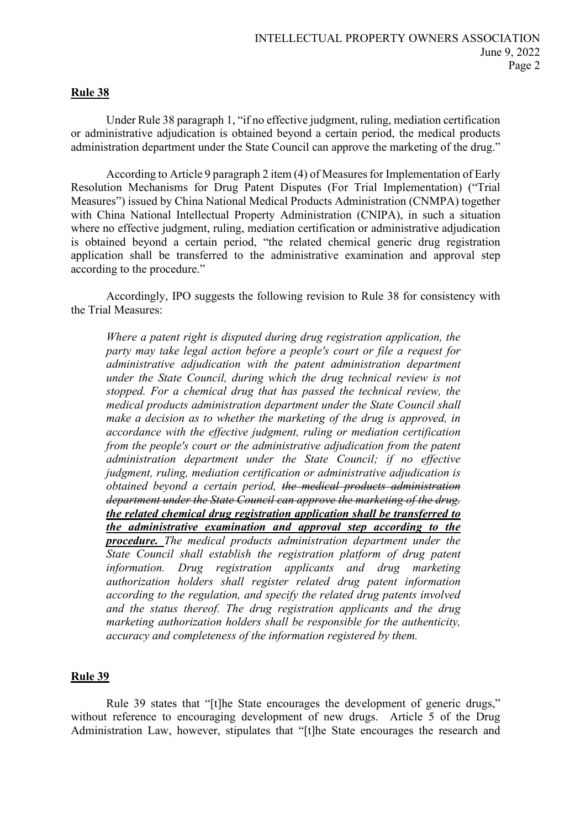### **Rule 38**

Under Rule 38 paragraph 1, "if no effective judgment, ruling, mediation certification or administrative adjudication is obtained beyond a certain period, the medical products administration department under the State Council can approve the marketing of the drug."

According to Article 9 paragraph 2 item (4) of Measures for Implementation of Early Resolution Mechanisms for Drug Patent Disputes (For Trial Implementation) ("Trial Measures") issued by China National Medical Products Administration (CNMPA) together with China National Intellectual Property Administration (CNIPA), in such a situation where no effective judgment, ruling, mediation certification or administrative adjudication is obtained beyond a certain period, "the related chemical generic drug registration application shall be transferred to the administrative examination and approval step according to the procedure."

Accordingly, IPO suggests the following revision to Rule 38 for consistency with the Trial Measures:

*Where a patent right is disputed during drug registration application, the party may take legal action before a people's court or file a request for administrative adjudication with the patent administration department under the State Council, during which the drug technical review is not stopped. For a chemical drug that has passed the technical review, the medical products administration department under the State Council shall make a decision as to whether the marketing of the drug is approved, in accordance with the effective judgment, ruling or mediation certification from the people's court or the administrative adjudication from the patent administration department under the State Council; if no effective judgment, ruling, mediation certification or administrative adjudication is obtained beyond a certain period, the medical products administration department under the State Council can approve the marketing of the drug. the related chemical drug registration application shall be transferred to the administrative examination and approval step according to the procedure. The medical products administration department under the State Council shall establish the registration platform of drug patent information. Drug registration applicants and drug marketing authorization holders shall register related drug patent information according to the regulation, and specify the related drug patents involved and the status thereof. The drug registration applicants and the drug marketing authorization holders shall be responsible for the authenticity, accuracy and completeness of the information registered by them.* 

#### **Rule 39**

Rule 39 states that "[t]he State encourages the development of generic drugs," without reference to encouraging development of new drugs. Article 5 of the Drug Administration Law, however, stipulates that "[t]he State encourages the research and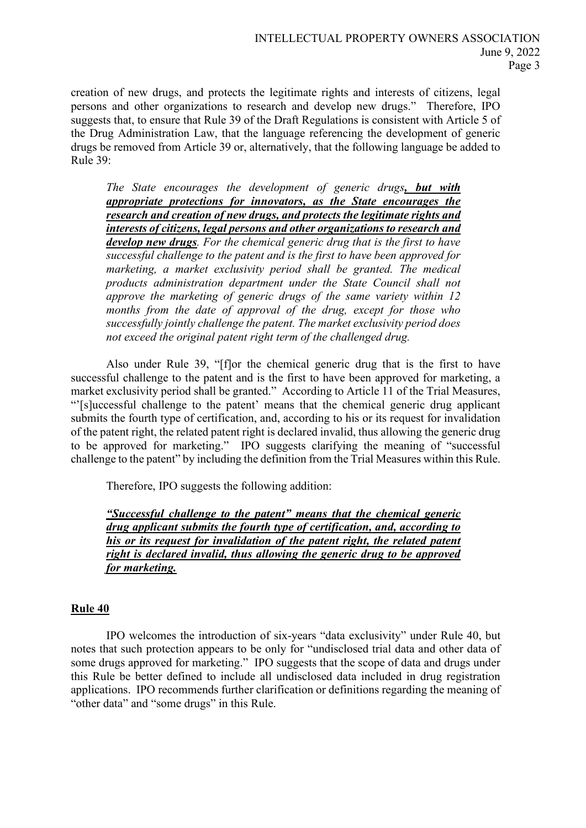creation of new drugs, and protects the legitimate rights and interests of citizens, legal persons and other organizations to research and develop new drugs." Therefore, IPO suggests that, to ensure that Rule 39 of the Draft Regulations is consistent with Article 5 of the Drug Administration Law, that the language referencing the development of generic drugs be removed from Article 39 or, alternatively, that the following language be added to Rule 39:

*The State encourages the development of generic drugs, but with appropriate protections for innovators, as the State encourages the research and creation of new drugs, and protects the legitimate rights and interests of citizens, legal persons and other organizations to research and develop new drugs. For the chemical generic drug that is the first to have successful challenge to the patent and is the first to have been approved for marketing, a market exclusivity period shall be granted. The medical products administration department under the State Council shall not approve the marketing of generic drugs of the same variety within 12 months from the date of approval of the drug, except for those who successfully jointly challenge the patent. The market exclusivity period does not exceed the original patent right term of the challenged drug.* 

Also under Rule 39, "[f]or the chemical generic drug that is the first to have successful challenge to the patent and is the first to have been approved for marketing, a market exclusivity period shall be granted." According to Article 11 of the Trial Measures, "'[s]uccessful challenge to the patent' means that the chemical generic drug applicant submits the fourth type of certification, and, according to his or its request for invalidation of the patent right, the related patent right is declared invalid, thus allowing the generic drug to be approved for marketing." IPO suggests clarifying the meaning of "successful challenge to the patent" by including the definition from the Trial Measures within this Rule.

Therefore, IPO suggests the following addition:

*"Successful challenge to the patent" means that the chemical generic drug applicant submits the fourth type of certification, and, according to his or its request for invalidation of the patent right, the related patent right is declared invalid, thus allowing the generic drug to be approved for marketing.* 

# **Rule 40**

IPO welcomes the introduction of six-years "data exclusivity" under Rule 40, but notes that such protection appears to be only for "undisclosed trial data and other data of some drugs approved for marketing." IPO suggests that the scope of data and drugs under this Rule be better defined to include all undisclosed data included in drug registration applications. IPO recommends further clarification or definitions regarding the meaning of "other data" and "some drugs" in this Rule.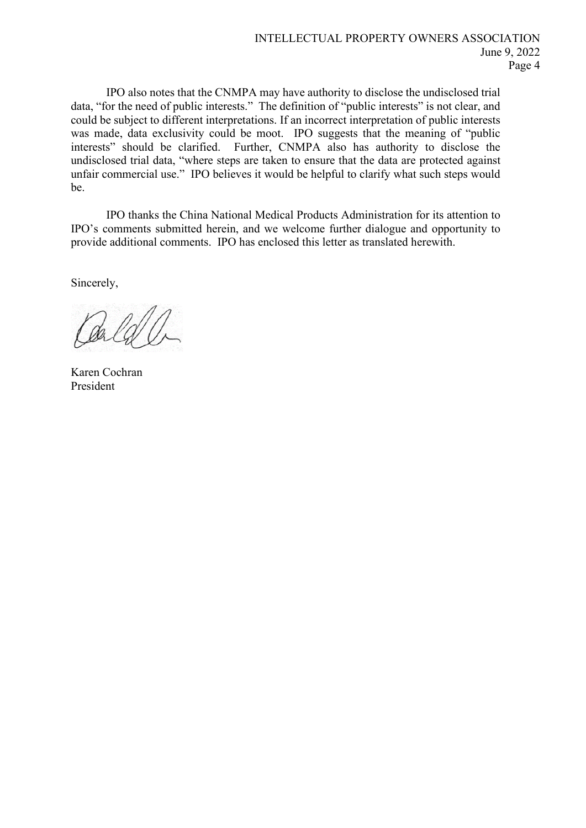IPO also notes that the CNMPA may have authority to disclose the undisclosed trial data, "for the need of public interests." The definition of "public interests" is not clear, and could be subject to different interpretations. If an incorrect interpretation of public interests was made, data exclusivity could be moot. IPO suggests that the meaning of "public interests" should be clarified. Further, CNMPA also has authority to disclose the undisclosed trial data, "where steps are taken to ensure that the data are protected against unfair commercial use." IPO believes it would be helpful to clarify what such steps would be.

IPO thanks the China National Medical Products Administration for its attention to IPO's comments submitted herein, and we welcome further dialogue and opportunity to provide additional comments. IPO has enclosed this letter as translated herewith.

Sincerely,

Karen Cochran President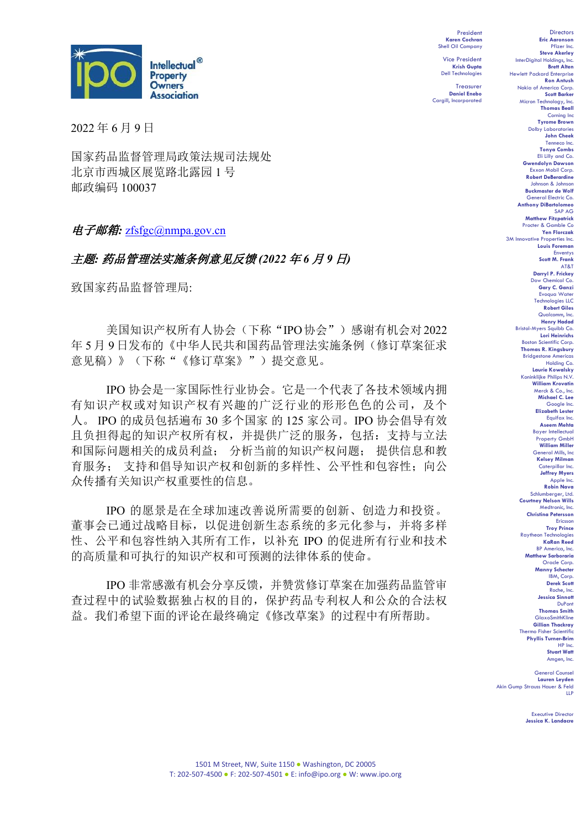

2022 年 6 月 9 日

国家药品监督管理局政策法规司法规处 北京市西城区展览路北露园 1 号 邮政编码 100037

## 电子邮箱*:* [zfsfgc@nmpa.gov.cn](mailto:zfsfgc@nmpa.gov.cn)

# 主题*:* 药品管理法实施条例意见反馈 *(2022* 年 *6* 月 *9* 日*)*

致国家药品监督管理局:

美国知识产权所有人协会(下称"IPO协会")感谢有机会对2022 年 5 月 9 日发布的《中华人民共和国药品管理法实施条例(修订草案征求 意见稿)》(下称"《修订草案》")提交意见。

IPO 协会是一家国际性行业协会。它是一个代表了各技术领域内拥 有知识产权或对知识产权有兴趣的广泛行业的形形色色的公司,及个 人。 IPO 的成员包括遍布 30 多个国家 的 125 家公司。IPO 协会倡导有效 且负担得起的知识产权所有权,并提供广泛的服务,包括:支持与立法 和国际问题相关的成员利益; 分析当前的知识产权问题; 提供信息和教 育服务; 支持和倡导知识产权和创新的多样性、公平性和包容性;向公 众传播有关知识产权重要性的信息。

IPO 的愿景是在全球加速改善说所需要的创新、创造力和投资。 董事会已通过战略目标,以促进创新生态系统的多元化参与,并将多样 性、公平和包容性纳入其所有工作,以补充 IPO 的促进所有行业和技术 的高质量和可执行的知识产权和可预测的法律体系的使命。

IPO 非常感激有机会分享反馈,并赞赏修订草案在加强药品监管审 查过程中的试验数据独占权的目的,保护药品专利权人和公众的合法权 益。我们希望下面的评论在最终确定《修改草案》的过程中有所帮助。

President **Karen Cochran** Shell Oil Company Vice President **Krish Gupta**

Dell Technologies Treasurer **Daniel Enebo** Cargill, Incorporated

**Eric Aaronson**  Pfizer Inc. **Steve Akerley** InterDigital Holdings, In **Brett Alten** Hewlett Packard Enterprise **Ron Antush** Nokia of America Corp. **Scott Barker** Micron Technology, Inc. **Thomas Beall** Corning Inc **Tyrome Brown** Dolby Laboratories **John Cheek** Tenneco Inc. **Tonya Combs** Eli Lilly and Co. **Gwendolyn Dawson** Exxon Mobil Corp. **Robert DeBerardine** Johnson & Johnson **Buckmaster de Wolf** General Electric Co. **Anthony DiBartolomeo** SAP AG **Matthew Fitzpatrick** Procter & Gamble Co **Yen Florczak** 3M Innovative Properties Inc. **Louis Foreman** Enventys **Scott M. Frank** AT&T **Darryl P. Frickey** Dow Chemical Co. **Gary C. Ganzi** Evoqua Water Technologies LLC **Robert Giles** Qualcomm, Inc. **Henry Hadad** Bristol-Myers Squibb Co. **Lori Heinrichs biston Scientific Corp. Thomas R. Kingsbury** Bridgestone Americas Holding Co. **Laurie Kowalsky** Koninklijke Philips N.V. **William Krovatin** Merck & Co., Inc. **Michael C. Lee** Google Inc. **Elizabeth Lester** Equifax Inc. **Aseem Mehta** Bayer Intellectual Property GmbH **William Miller** General Mills, Inc. **Kelsey Milman** Caterpillar Inc. **Jeffrey Myers** Apple Inc. **Robin Nava** Schlumberger, Ltd. **Courtney Nelson Wills** Medtronic, Inc. **Christina Petersson** Ericsson **Troy Prince** یں . .<br>Raytheon Techn **KaRan Reed** BP America, Inc. **Matthew Sarboraria** Oracle Corp. **Manny Schecter** IBM, Corp. **Derek Scott** Roche, Inc. **Jessica Sinnott** DuPont **Thomas Smith** GlaxoSmithKline **Gillian Thackray** Thermo Fisher Scientific **Phyllis Turner-Brim** HP Inc. **Stuart Watt** Amgen, Inc. General Counsel

Directors

**Lauren Leyden** Akin Gump Strauss Hauer & Feld LLP

> Executive Director **Jessica K. Landacre**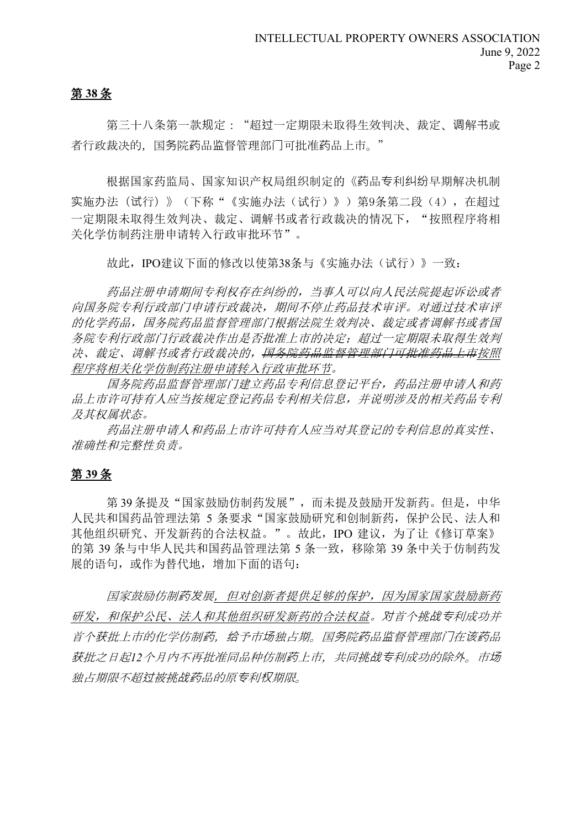# 第 **38** 条

第三十八条第一款规定: "超过一定期限未取得生效判决、裁定、调解书或 者行政裁决的,国务院药品监督管理部门可批准药品上市。"

根据国家药监局、国家知识产权局组织制定的《药品专利纠纷早期解决机制 实施办法(试行)》(下称"《实施办法(试行)》)第9条第二段(4),在超过 一定期限未取得生效判决、裁定、调解书或者行政裁决的情况下, "按照程序将相 关化学仿制药注册申请转入行政审批环节"。

故此, IPO建议下面的修改以使第38条与《实施办法(试行)》一致:

药品注册申请期间专利权存在纠纷的,当事人可以向人民法院提起诉讼或者 向国务院专利行政部门申请行政裁决,期间不停止药品技术审评。对通过技术审评 的化学药品,国务院药品监督管理部门根据法院生效判决、裁定或者调解书或者国 务院专利行政部门行政裁决作出是否批准上市的决定;超过一定期限未取得生效判 决、裁定、调解书或者行政裁决的,国务院药品监督管理部门可批准药品上市按照 程序将相关化学仿制药注册申请转入行政审批环节。

国务院药品监督管理部门建立药品专利信息登记平台,药品注册申请人和药 品上市许可持有人应当按规定登记药品专利相关信息,并说明涉及的相关药品专利 及其权属状态。

药品注册申请人和药品上市许可持有人应当对其登记的专利信息的真实性、 准确性和完整性负责。

# 第 **39** 条

第 39 条提及"国家鼓励仿制药发展",而未提及鼓励开发新药。但是,中华 人民共和国药品管理法第 5 条要求"国家鼓励研究和创制新药,保护公民、法人和 其他组织研究、开发新药的合法权益。"。故此, IPO 建议, 为了让《修订草案》 的第 39 条与中华人民共和国药品管理法第 5 条一致,移除第 39 条中关于仿制药发 展的语句,或作为替代地,增加下面的语句:

国家鼓励仿制药发展,但对创新者提供足够的保护,因为国家国家鼓励新药 研发,和保护公民、法人和其他组织研发新药的合法权益。对首个挑战专利成功并 首个获批上市的化学仿制药,给予市场独占期。国务院药品监督管理部门在该药品 获批之日起*12*个月内不再批准同品种仿制药上市,共同挑战专利成功的除外。市场 独占期限不超过被挑战药品的原专利权期限。